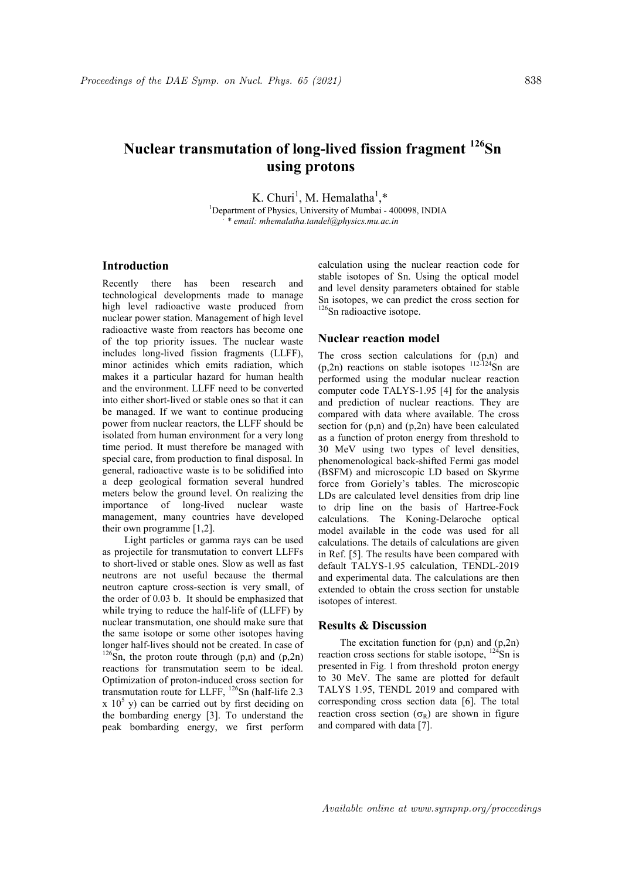# Nuclear transmutation of long-lived fission fragment <sup>126</sup>Sn using protons

K. Churi<sup>1</sup>, M. Hemalatha<sup>1</sup>,\* <sup>1</sup>Department of Physics, University of Mumbai - 400098, INDIA

. \* email: mhemalatha.tandel@physics.mu.ac.in

## Introduction

Recently there has been research and technological developments made to manage high level radioactive waste produced from nuclear power station. Management of high level radioactive waste from reactors has become one of the top priority issues. The nuclear waste includes long-lived fission fragments (LLFF), minor actinides which emits radiation, which makes it a particular hazard for human health and the environment. LLFF need to be converted into either short-lived or stable ones so that it can be managed. If we want to continue producing power from nuclear reactors, the LLFF should be isolated from human environment for a very long time period. It must therefore be managed with special care, from production to final disposal. In general, radioactive waste is to be solidified into a deep geological formation several hundred meters below the ground level. On realizing the importance of long-lived nuclear waste management, many countries have developed their own programme [1,2].

Light particles or gamma rays can be used as projectile for transmutation to convert LLFFs to short-lived or stable ones. Slow as well as fast neutrons are not useful because the thermal neutron capture cross-section is very small, of the order of 0.03 b. It should be emphasized that while trying to reduce the half-life of (LLFF) by nuclear transmutation, one should make sure that the same isotope or some other isotopes having longer half-lives should not be created. In case of  $126$ Sn, the proton route through (p,n) and (p,2n) reactions for transmutation seem to be ideal. Optimization of proton-induced cross section for transmutation route for LLFF,  $^{126}$ Sn (half-life 2.3)  $x$  10<sup>5</sup> y) can be carried out by first deciding on the bombarding energy [3]. To understand the peak bombarding energy, we first perform

calculation using the nuclear reaction code for stable isotopes of Sn. Using the optical model and level density parameters obtained for stable Sn isotopes, we can predict the cross section for <sup>126</sup>Sn radioactive isotope.

### Nuclear reaction model

The cross section calculations for (p,n) and  $(p,2n)$  reactions on stable isotopes  $112-124$ Sn are performed using the modular nuclear reaction computer code TALYS-1.95 [4] for the analysis and prediction of nuclear reactions. They are compared with data where available. The cross section for  $(p,n)$  and  $(p,2n)$  have been calculated as a function of proton energy from threshold to 30 MeV using two types of level densities, phenomenological back-shifted Fermi gas model (BSFM) and microscopic LD based on Skyrme force from Goriely's tables. The microscopic LDs are calculated level densities from drip line to drip line on the basis of Hartree-Fock calculations. The Koning-Delaroche optical model available in the code was used for all calculations. The details of calculations are given in Ref. [5]. The results have been compared with default TALYS-1.95 calculation, TENDL-2019 and experimental data. The calculations are then extended to obtain the cross section for unstable isotopes of interest.

#### Results & Discussion

The excitation function for  $(p,n)$  and  $(p,2n)$ reaction cross sections for stable isotope,  $^{124}$ Sn is presented in Fig. 1 from threshold proton energy to 30 MeV. The same are plotted for default TALYS 1.95, TENDL 2019 and compared with corresponding cross section data [6]. The total reaction cross section  $(\sigma_R)$  are shown in figure and compared with data [7].